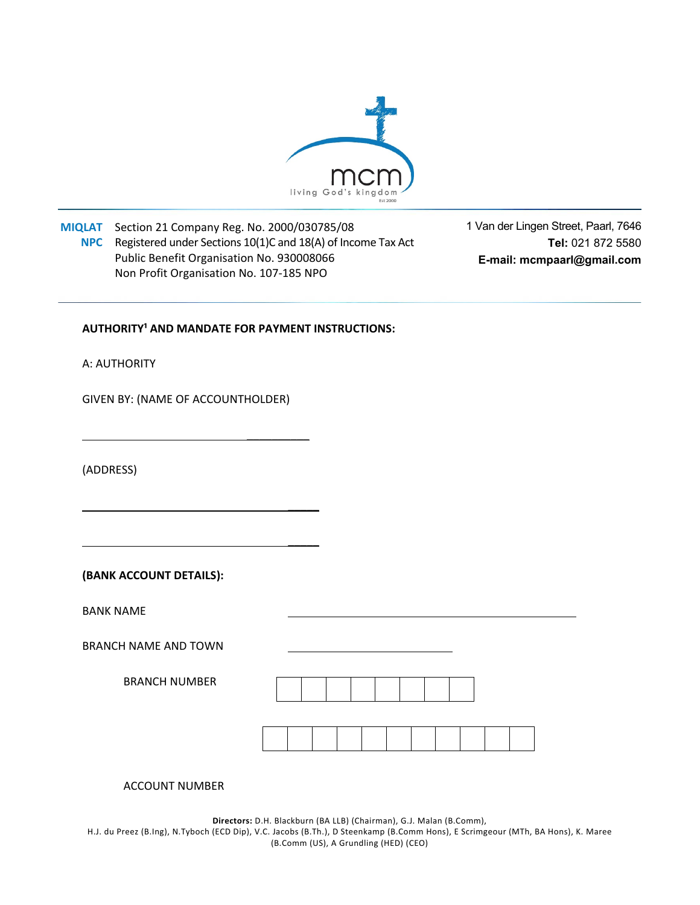

**MIQLAT**  Section 21 Company Reg. No. 2000/030785/08 **NPC** Registered under Sections 10(1)C and 18(A) of Income Tax Act Public Benefit Organisation No. 930008066 Non Profit Organisation No. 107‐185 NPO

1 Van der Lingen Street, Paarl, 7646 **Tel:** 021 872 5580 **E-mail: mcmpaarl@gmail.com**

## **AUTHORITY<sup>1</sup> AND MANDATE FOR PAYMENT INSTRUCTIONS:**

A: AUTHORITY

GIVEN BY: (NAME OF ACCOUNTHOLDER)

\_\_\_\_\_\_\_\_\_\_

\_\_\_\_\_

 **\_\_\_\_\_** 

(ADDRESS)

**(BANK ACCOUNT DETAILS):** 

BANK NAME

BRANCH NAME AND TOWN

BRANCH NUMBER

ACCOUNT NUMBER

**Directors:** D.H. Blackburn (BA LLB) (Chairman), G.J. Malan (B.Comm), H.J. du Preez (B.Ing), N.Tyboch (ECD Dip), V.C. Jacobs (B.Th.), D Steenkamp (B.Comm Hons), E Scrimgeour (MTh, BA Hons), K. Maree (B.Comm (US), A Grundling (HED) (CEO)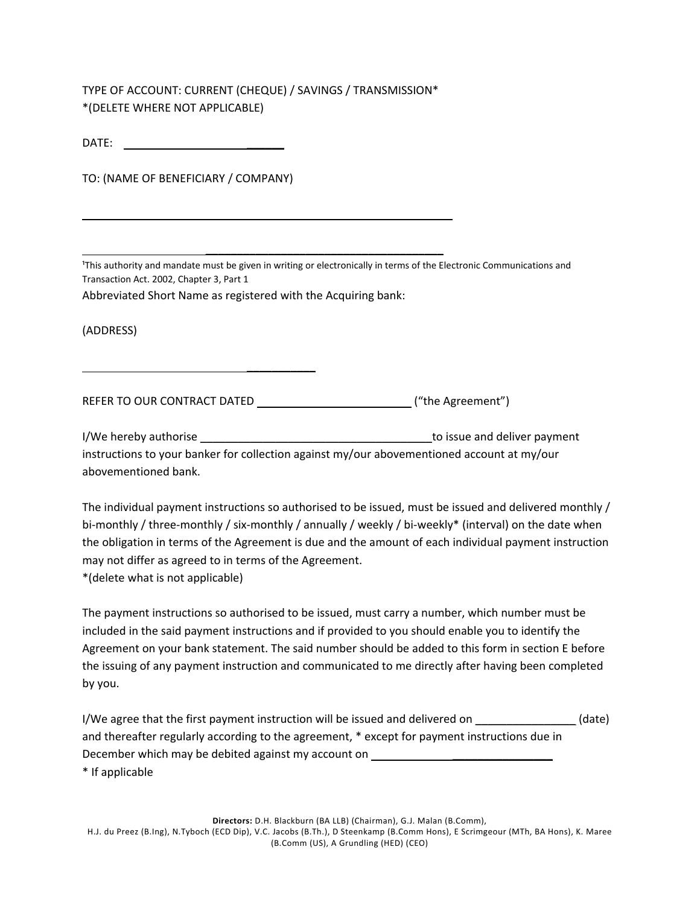TYPE OF ACCOUNT: CURRENT (CHEQUE) / SAVINGS / TRANSMISSION\* \*(DELETE WHERE NOT APPLICABLE)

| DATE: |  |
|-------|--|
|       |  |

TO: (NAME OF BENEFICIARY / COMPANY)

 **\_\_\_\_\_\_\_\_\_\_\_** 

<sup>1</sup>This authority and mandate must be given in writing or electronically in terms of the Electronic Communications and Transaction Act. 2002, Chapter 3, Part 1

Abbreviated Short Name as registered with the Acquiring bank:

(ADDRESS)

REFER TO OUR CONTRACT DATED ("the Agreement")

 **\_\_\_\_\_\_\_\_\_\_\_\_\_\_\_\_\_\_\_\_\_\_\_\_\_\_\_\_\_\_\_\_\_\_\_\_\_\_** 

I/We hereby authorise **I** and the setting of the setting of the setting of the setting of the setting of the set instructions to your banker for collection against my/our abovementioned account at my/our abovementioned bank.

The individual payment instructions so authorised to be issued, must be issued and delivered monthly / bi-monthly / three-monthly / six-monthly / annually / weekly / bi-weekly\* (interval) on the date when the obligation in terms of the Agreement is due and the amount of each individual payment instruction may not differ as agreed to in terms of the Agreement.

\*(delete what is not applicable)

The payment instructions so authorised to be issued, must carry a number, which number must be included in the said payment instructions and if provided to you should enable you to identify the Agreement on your bank statement. The said number should be added to this form in section E before the issuing of any payment instruction and communicated to me directly after having been completed by you.

I/We agree that the first payment instruction will be issued and delivered on  $(date)$ and thereafter regularly according to the agreement, \* except for payment instructions due in December which may be debited against my account on \_\_\_\_\_\_\_\_\_\_\_\_\_\_\_\_\_\_\_\_\_\_\_\_\_\_\_\_ \* If applicable